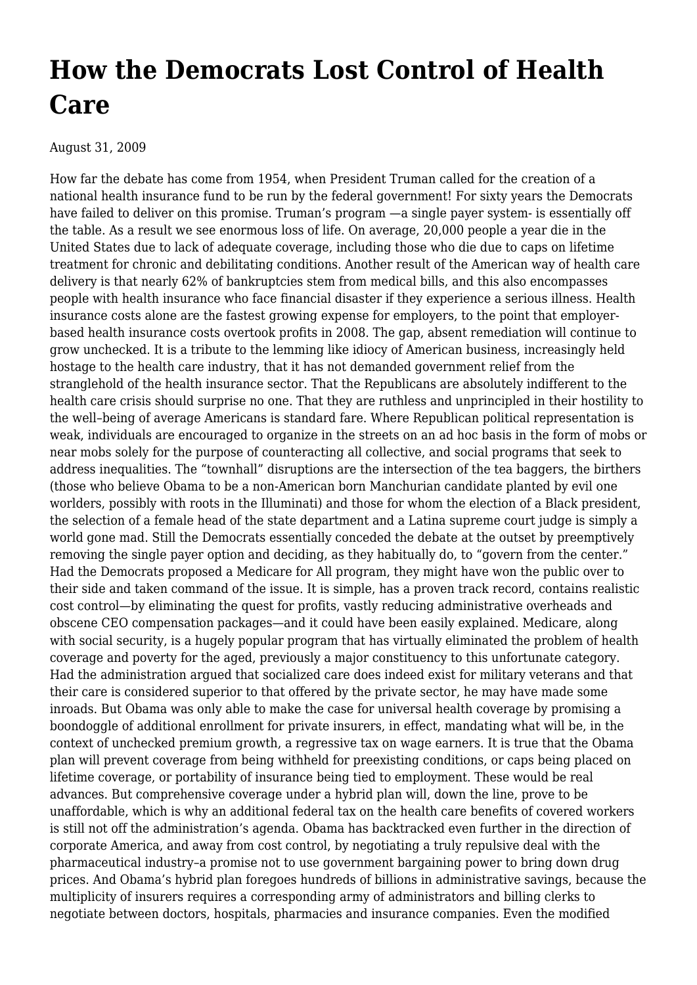## **[How the Democrats Lost Control of Health](https://newpol.org/how-democrats-lost-control-health-care/) [Care](https://newpol.org/how-democrats-lost-control-health-care/)**

August 31, 2009

How far the debate has come from 1954, when President Truman called for the creation of a national health insurance fund to be run by the federal government! For sixty years the Democrats have failed to deliver on this promise. Truman's program —a single payer system- is essentially off the table. As a result we see enormous loss of life. On average, 20,000 people a year die in the United States due to lack of adequate coverage, including those who die due to caps on lifetime treatment for chronic and debilitating conditions. Another result of the American way of health care delivery is that nearly 62% of bankruptcies stem from medical bills, and this also encompasses people with health insurance who face financial disaster if they experience a serious illness. Health insurance costs alone are the fastest growing expense for employers, to the point that employerbased health insurance costs overtook profits in 2008. The gap, absent remediation will continue to grow unchecked. It is a tribute to the lemming like idiocy of American business, increasingly held hostage to the health care industry, that it has not demanded government relief from the stranglehold of the health insurance sector. That the Republicans are absolutely indifferent to the health care crisis should surprise no one. That they are ruthless and unprincipled in their hostility to the well–being of average Americans is standard fare. Where Republican political representation is weak, individuals are encouraged to organize in the streets on an ad hoc basis in the form of mobs or near mobs solely for the purpose of counteracting all collective, and social programs that seek to address inequalities. The "townhall" disruptions are the intersection of the tea baggers, the birthers (those who believe Obama to be a non-American born Manchurian candidate planted by evil one worlders, possibly with roots in the Illuminati) and those for whom the election of a Black president, the selection of a female head of the state department and a Latina supreme court judge is simply a world gone mad. Still the Democrats essentially conceded the debate at the outset by preemptively removing the single payer option and deciding, as they habitually do, to "govern from the center." Had the Democrats proposed a Medicare for All program, they might have won the public over to their side and taken command of the issue. It is simple, has a proven track record, contains realistic cost control—by eliminating the quest for profits, vastly reducing administrative overheads and obscene CEO compensation packages—and it could have been easily explained. Medicare, along with social security, is a hugely popular program that has virtually eliminated the problem of health coverage and poverty for the aged, previously a major constituency to this unfortunate category. Had the administration argued that socialized care does indeed exist for military veterans and that their care is considered superior to that offered by the private sector, he may have made some inroads. But Obama was only able to make the case for universal health coverage by promising a boondoggle of additional enrollment for private insurers, in effect, mandating what will be, in the context of unchecked premium growth, a regressive tax on wage earners. It is true that the Obama plan will prevent coverage from being withheld for preexisting conditions, or caps being placed on lifetime coverage, or portability of insurance being tied to employment. These would be real advances. But comprehensive coverage under a hybrid plan will, down the line, prove to be unaffordable, which is why an additional federal tax on the health care benefits of covered workers is still not off the administration's agenda. Obama has backtracked even further in the direction of corporate America, and away from cost control, by negotiating a truly repulsive deal with the pharmaceutical industry–a promise not to use government bargaining power to bring down drug prices. And Obama's hybrid plan foregoes hundreds of billions in administrative savings, because the multiplicity of insurers requires a corresponding army of administrators and billing clerks to negotiate between doctors, hospitals, pharmacies and insurance companies. Even the modified